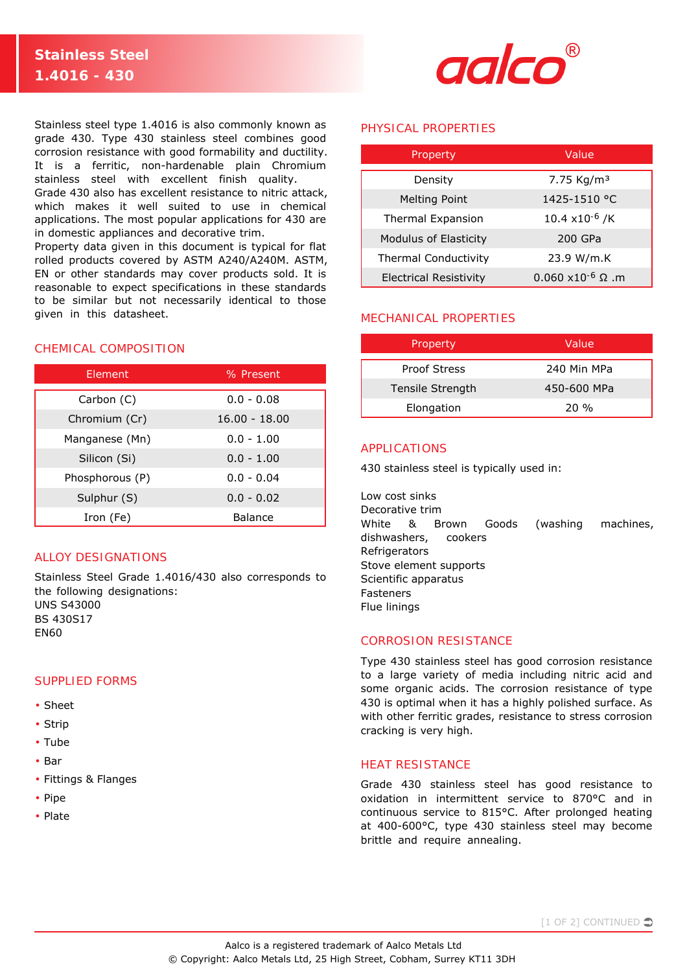

Stainless steel type 1.4016 is also commonly known as grade 430. Type 430 stainless steel combines good corrosion resistance with good formability and ductility. It is a ferritic, non-hardenable plain Chromium stainless steel with excellent finish quality.

Grade 430 also has excellent resistance to nitric attack, which makes it well suited to use in chemical applications. The most popular applications for 430 are in domestic appliances and decorative trim.

Property data given in this document is typical for flat rolled products covered by ASTM A240/A240M. ASTM, EN or other standards may cover products sold. It is reasonable to expect specifications in these standards to be similar but not necessarily identical to those given in this datasheet.

# CHEMICAL COMPOSITION

| Element         | % Present       |  |
|-----------------|-----------------|--|
| Carbon (C)      | $0.0 - 0.08$    |  |
| Chromium (Cr)   | $16.00 - 18.00$ |  |
| Manganese (Mn)  | $0.0 - 1.00$    |  |
| Silicon (Si)    | $0.0 - 1.00$    |  |
| Phosphorous (P) | $0.0 - 0.04$    |  |
| Sulphur (S)     | $0.0 - 0.02$    |  |
| Iron (Fe)       | <b>Balance</b>  |  |

# ALLOY DESIGNATIONS

Stainless Steel Grade 1.4016/430 also corresponds to the following designations: UNS S43000 BS 430S17 EN60

# SUPPLIED FORMS

- Sheet
- Strip
- Tube
- Bar
- Fittings & Flanges
- Pipe
- Plate

## PHYSICAL PROPERTIES

| Property                      | Value                            |  |
|-------------------------------|----------------------------------|--|
| Density                       | 7.75 Kg/m <sup>3</sup>           |  |
| Melting Point                 | 1425-1510 °C                     |  |
| Thermal Expansion             | $10.4 \times 10^{-6}$ /K         |  |
| Modulus of Elasticity         | 200 GPa                          |  |
| <b>Thermal Conductivity</b>   | 23.9 W/m.K                       |  |
| <b>Electrical Resistivity</b> | $0.060 \times 10^{-6} \Omega$ .m |  |

# MECHANICAL PROPERTIES

| Property            | Value       |  |
|---------------------|-------------|--|
| <b>Proof Stress</b> | 240 Min MPa |  |
| Tensile Strength    | 450-600 MPa |  |
| Elongation          | 20 %        |  |

# APPLICATIONS

430 stainless steel is typically used in:

Low cost sinks Decorative trim White & Brown Goods (washing machines, dishwashers, cookers **Refrigerators** Stove element supports Scientific apparatus **Fasteners** Flue linings

## CORROSION RESISTANCE

Type 430 stainless steel has good corrosion resistance to a large variety of media including nitric acid and some organic acids. The corrosion resistance of type 430 is optimal when it has a highly polished surface. As with other ferritic grades, resistance to stress corrosion cracking is very high.

#### HEAT RESISTANCE

Grade 430 stainless steel has good resistance to oxidation in intermittent service to 870°C and in continuous service to 815°C. After prolonged heating at 400-600°C, type 430 stainless steel may become brittle and require annealing.